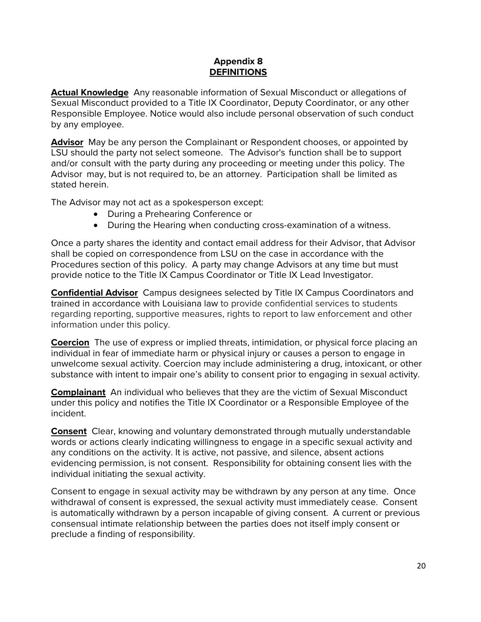## **Appendix 8 DEFINITIONS**

**Actual Knowledge** Any reasonable information of Sexual Misconduct or allegations of Sexual Misconduct provided to a Title IX Coordinator, Deputy Coordinator, or any other Responsible Employee. Notice would also include personal observation of such conduct by any employee.

**Advisor** May be any person the Complainant or Respondent chooses, or appointed by LSU should the party not select someone. The Advisor's function shall be to support and/or consult with the party during any proceeding or meeting under this policy. The Advisor may, but is not required to, be an attorney. Participation shall be limited as stated herein.

The Advisor may not act as a spokesperson except:

- During a Prehearing Conference or
- During the Hearing when conducting cross-examination of a witness.

Once a party shares the identity and contact email address for their Advisor, that Advisor shall be copied on correspondence from LSU on the case in accordance with the Procedures section of this policy. A party may change Advisors at any time but must provide notice to the Title IX Campus Coordinator or Title IX Lead Investigator.

**Confidential Advisor** Campus designees selected by Title IX Campus Coordinators and trained in accordance with Louisiana law to provide confidential services to students regarding reporting, supportive measures, rights to report to law enforcement and other information under this policy.

**Coercion** The use of express or implied threats, intimidation, or physical force placing an individual in fear of immediate harm or physical injury or causes a person to engage in unwelcome sexual activity. Coercion may include administering a drug, intoxicant, or other substance with intent to impair one's ability to consent prior to engaging in sexual activity.

**Complainant** An individual who believes that they are the victim of Sexual Misconduct under this policy and notifies the Title IX Coordinator or a Responsible Employee of the incident.

**Consent** Clear, knowing and voluntary demonstrated through mutually understandable words or actions clearly indicating willingness to engage in a specific sexual activity and any conditions on the activity. It is active, not passive, and silence, absent actions evidencing permission, is not consent. Responsibility for obtaining consent lies with the individual initiating the sexual activity.

Consent to engage in sexual activity may be withdrawn by any person at any time. Once withdrawal of consent is expressed, the sexual activity must immediately cease. Consent is automatically withdrawn by a person incapable of giving consent. A current or previous consensual intimate relationship between the parties does not itself imply consent or preclude a finding of responsibility.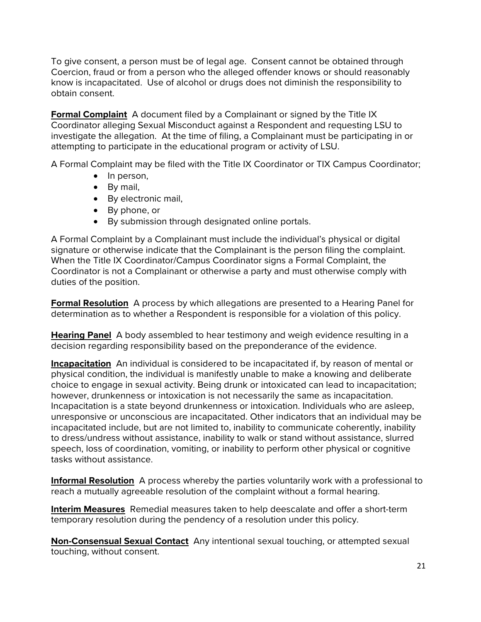To give consent, a person must be of legal age. Consent cannot be obtained through Coercion, fraud or from a person who the alleged offender knows or should reasonably know is incapacitated. Use of alcohol or drugs does not diminish the responsibility to obtain consent.

**Formal Complaint** A document filed by a Complainant or signed by the Title IX Coordinator alleging Sexual Misconduct against a Respondent and requesting LSU to investigate the allegation. At the time of filing, a Complainant must be participating in or attempting to participate in the educational program or activity of LSU.

A Formal Complaint may be filed with the Title IX Coordinator or TIX Campus Coordinator;

- In person,
- By mail,
- By electronic mail,
- By phone, or
- By submission through designated online portals.

A Formal Complaint by a Complainant must include the individual's physical or digital signature or otherwise indicate that the Complainant is the person filing the complaint. When the Title IX Coordinator/Campus Coordinator signs a Formal Complaint, the Coordinator is not a Complainant or otherwise a party and must otherwise comply with duties of the position.

**Formal Resolution** A process by which allegations are presented to a Hearing Panel for determination as to whether a Respondent is responsible for a violation of this policy.

**Hearing Panel** A body assembled to hear testimony and weigh evidence resulting in a decision regarding responsibility based on the preponderance of the evidence.

**Incapacitation** An individual is considered to be incapacitated if, by reason of mental or physical condition, the individual is manifestly unable to make a knowing and deliberate choice to engage in sexual activity. Being drunk or intoxicated can lead to incapacitation; however, drunkenness or intoxication is not necessarily the same as incapacitation. Incapacitation is a state beyond drunkenness or intoxication. Individuals who are asleep, unresponsive or unconscious are incapacitated. Other indicators that an individual may be incapacitated include, but are not limited to, inability to communicate coherently, inability to dress/undress without assistance, inability to walk or stand without assistance, slurred speech, loss of coordination, vomiting, or inability to perform other physical or cognitive tasks without assistance.

**Informal Resolution** A process whereby the parties voluntarily work with a professional to reach a mutually agreeable resolution of the complaint without a formal hearing.

**Interim Measures** Remedial measures taken to help deescalate and offer a short-term temporary resolution during the pendency of a resolution under this policy.

**Non-Consensual Sexual Contact** Any intentional sexual touching, or attempted sexual touching, without consent.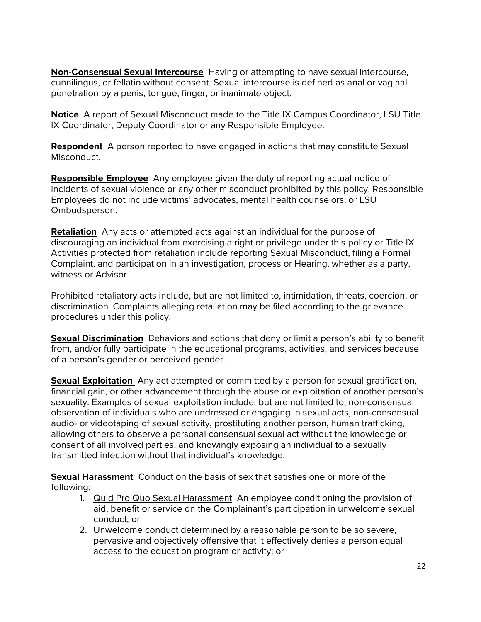**Non-Consensual Sexual Intercourse** Having or attempting to have sexual intercourse, cunnilingus, or fellatio without consent. Sexual intercourse is defined as anal or vaginal penetration by a penis, tongue, finger, or inanimate object.

**Notice** A report of Sexual Misconduct made to the Title IX Campus Coordinator, LSU Title IX Coordinator, Deputy Coordinator or any Responsible Employee.

**Respondent** A person reported to have engaged in actions that may constitute Sexual Misconduct.

**Responsible Employee** Any employee given the duty of reporting actual notice of incidents of sexual violence or any other misconduct prohibited by this policy. Responsible Employees do not include victims' advocates, mental health counselors, or LSU Ombudsperson.

**Retaliation** Any acts or attempted acts against an individual for the purpose of discouraging an individual from exercising a right or privilege under this policy or Title IX. Activities protected from retaliation include reporting Sexual Misconduct, filing a Formal Complaint, and participation in an investigation, process or Hearing, whether as a party, witness or Advisor.

Prohibited retaliatory acts include, but are not limited to, intimidation, threats, coercion, or discrimination. Complaints alleging retaliation may be filed according to the grievance procedures under this policy.

**Sexual Discrimination** Behaviors and actions that deny or limit a person's ability to benefit from, and/or fully participate in the educational programs, activities, and services because of a person's gender or perceived gender.

**Sexual Exploitation** Any act attempted or committed by a person for sexual gratification, financial gain, or other advancement through the abuse or exploitation of another person's sexuality. Examples of sexual exploitation include, but are not limited to, non-consensual observation of individuals who are undressed or engaging in sexual acts, non-consensual audio- or videotaping of sexual activity, prostituting another person, human trafficking, allowing others to observe a personal consensual sexual act without the knowledge or consent of all involved parties, and knowingly exposing an individual to a sexually transmitted infection without that individual's knowledge.

**Sexual Harassment** Conduct on the basis of sex that satisfies one or more of the following:

- 1. Quid Pro Quo Sexual Harassment An employee conditioning the provision of aid, benefit or service on the Complainant's participation in unwelcome sexual conduct; or
- 2. Unwelcome conduct determined by a reasonable person to be so severe, pervasive and objectively offensive that it effectively denies a person equal access to the education program or activity; or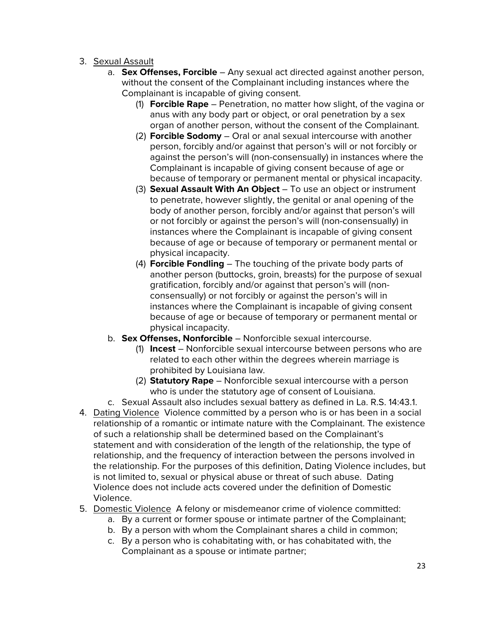- 3. Sexual Assault
	- a. **Sex Offenses, Forcible** Any sexual act directed against another person, without the consent of the Complainant including instances where the Complainant is incapable of giving consent.
		- (1) **Forcible Rape** Penetration, no matter how slight, of the vagina or anus with any body part or object, or oral penetration by a sex organ of another person, without the consent of the Complainant.
		- (2) **Forcible Sodomy** Oral or anal sexual intercourse with another person, forcibly and/or against that person's will or not forcibly or against the person's will (non-consensually) in instances where the Complainant is incapable of giving consent because of age or because of temporary or permanent mental or physical incapacity.
		- (3) **Sexual Assault With An Object**  To use an object or instrument to penetrate, however slightly, the genital or anal opening of the body of another person, forcibly and/or against that person's will or not forcibly or against the person's will (non-consensually) in instances where the Complainant is incapable of giving consent because of age or because of temporary or permanent mental or physical incapacity.
		- (4) **Forcible Fondling** The touching of the private body parts of another person (buttocks, groin, breasts) for the purpose of sexual gratification, forcibly and/or against that person's will (nonconsensually) or not forcibly or against the person's will in instances where the Complainant is incapable of giving consent because of age or because of temporary or permanent mental or physical incapacity.
	- b. **Sex Offenses, Nonforcible** Nonforcible sexual intercourse.
		- (1) **Incest** Nonforcible sexual intercourse between persons who are related to each other within the degrees wherein marriage is prohibited by Louisiana law.
		- (2) **Statutory Rape** Nonforcible sexual intercourse with a person who is under the statutory age of consent of Louisiana.
- c. Sexual Assault also includes sexual battery as defined in La. R.S. 14:43.1. 4. Dating Violence Violence committed by a person who is or has been in a social relationship of a romantic or intimate nature with the Complainant. The existence of such a relationship shall be determined based on the Complainant's statement and with consideration of the length of the relationship, the type of relationship, and the frequency of interaction between the persons involved in the relationship. For the purposes of this definition, Dating Violence includes, but is not limited to, sexual or physical abuse or threat of such abuse. Dating Violence does not include acts covered under the definition of Domestic Violence.
- 5. Domestic Violence A felony or misdemeanor crime of violence committed:
	- a. By a current or former spouse or intimate partner of the Complainant;
	- b. By a person with whom the Complainant shares a child in common;
	- c. By a person who is cohabitating with, or has cohabitated with, the Complainant as a spouse or intimate partner;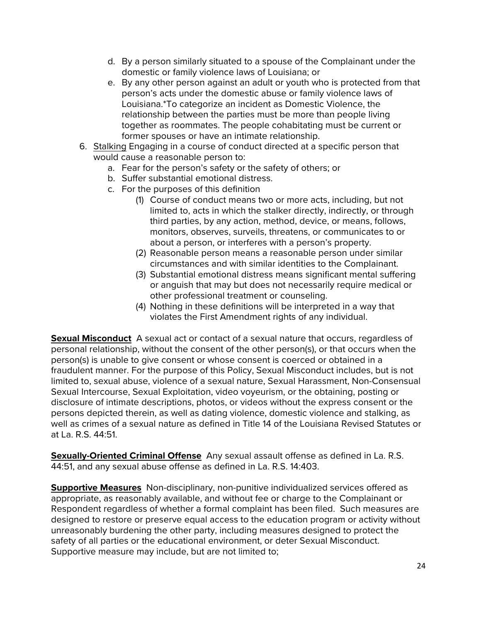- d. By a person similarly situated to a spouse of the Complainant under the domestic or family violence laws of Louisiana; or
- e. By any other person against an adult or youth who is protected from that person's acts under the domestic abuse or family violence laws of Louisiana.\*To categorize an incident as Domestic Violence, the relationship between the parties must be more than people living together as roommates. The people cohabitating must be current or former spouses or have an intimate relationship.
- 6. Stalking Engaging in a course of conduct directed at a specific person that would cause a reasonable person to:
	- a. Fear for the person's safety or the safety of others; or
	- b. Suffer substantial emotional distress.
	- c. For the purposes of this definition
		- (1) Course of conduct means two or more acts, including, but not limited to, acts in which the stalker directly, indirectly, or through third parties, by any action, method, device, or means, follows, monitors, observes, surveils, threatens, or communicates to or about a person, or interferes with a person's property.
		- (2) Reasonable person means a reasonable person under similar circumstances and with similar identities to the Complainant.
		- (3) Substantial emotional distress means significant mental suffering or anguish that may but does not necessarily require medical or other professional treatment or counseling.
		- (4) Nothing in these definitions will be interpreted in a way that violates the First Amendment rights of any individual.

**Sexual Misconduct** A sexual act or contact of a sexual nature that occurs, regardless of personal relationship, without the consent of the other person(s), or that occurs when the person(s) is unable to give consent or whose consent is coerced or obtained in a fraudulent manner. For the purpose of this Policy, Sexual Misconduct includes, but is not limited to, sexual abuse, violence of a sexual nature, Sexual Harassment, Non-Consensual Sexual Intercourse, Sexual Exploitation, video voyeurism, or the obtaining, posting or disclosure of intimate descriptions, photos, or videos without the express consent or the persons depicted therein, as well as dating violence, domestic violence and stalking, as well as crimes of a sexual nature as defined in Title 14 of the Louisiana Revised Statutes or at La. R.S. 44:51.

**Sexually-Oriented Criminal Offense** Any sexual assault offense as defined in La. R.S. 44:51, and any sexual abuse offense as defined in La. R.S. 14:403.

**Supportive Measures** Non-disciplinary, non-punitive individualized services offered as appropriate, as reasonably available, and without fee or charge to the Complainant or Respondent regardless of whether a formal complaint has been filed. Such measures are designed to restore or preserve equal access to the education program or activity without unreasonably burdening the other party, including measures designed to protect the safety of all parties or the educational environment, or deter Sexual Misconduct. Supportive measure may include, but are not limited to;